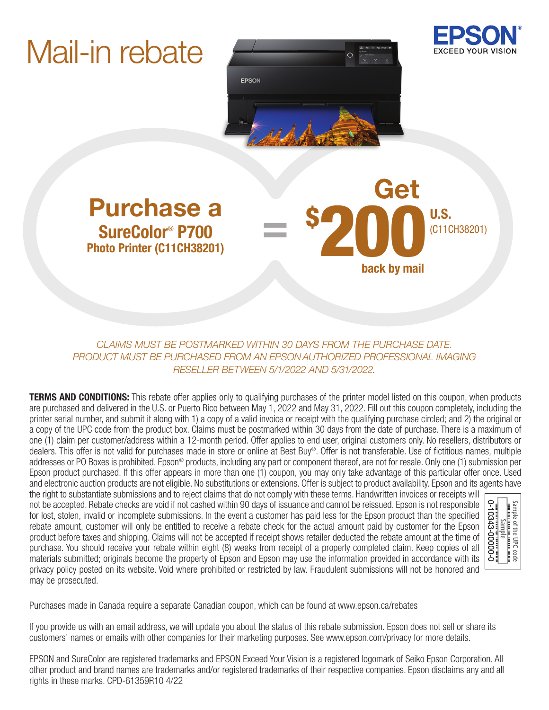# Mail-in rebate





back by mail

\$ 200 U.S. (C11CH38201)

Purchase a U.S. Cet SureColor® P700 Photo Printer (C11CH38201)

*CLAIMS MUST BE POSTMARKED WITHIN 30 DAYS FROM THE PURCHASE DATE. PRODUCT MUST BE PURCHASED FROM AN EPSON AUTHORIZED PROFESSIONAL IMAGING RESELLER BETWEEN 5/1/2022 AND 5/31/2022.*

=

**TERMS AND CONDITIONS:** This rebate offer applies only to qualifying purchases of the printer model listed on this coupon, when products are purchased and delivered in the U.S. or Puerto Rico between May 1, 2022 and May 31, 2022. Fill out this coupon completely, including the printer serial number, and submit it along with 1) a copy of a valid invoice or receipt with the qualifying purchase circled; and 2) the original or a copy of the UPC code from the product box. Claims must be postmarked within 30 days from the date of purchase. There is a maximum of one (1) claim per customer/address within a 12-month period. Offer applies to end user, original customers only. No resellers, distributors or dealers. This offer is not valid for purchases made in store or online at Best Buy®. Offer is not transferable. Use of fictitious names, multiple addresses or PO Boxes is prohibited. Epson® products, including any part or component thereof, are not for resale. Only one (1) submission per Epson product purchased. If this offer appears in more than one (1) coupon, you may only take advantage of this particular offer once. Used and electronic auction products are not eligible. No substitutions or extensions. Offer is subject to product availability. Epson and its agents have

the right to substantiate submissions and to reject claims that do not comply with these terms. Handwritten invoices or receipts will not be accepted. Rebate checks are void if not cashed within 90 days of issuance and cannot be reissued. Epson is not responsible for lost, stolen, invalid or incomplete submissions. In the event a customer has paid less for the Epson product than the specified rebate amount, customer will only be entitled to receive a rebate check for the actual amount paid by customer for the Epson product before taxes and shipping. Claims will not be accepted if receipt shows retailer deducted the rebate amount at the time of purchase. You should receive your rebate within eight (8) weeks from receipt of a properly completed claim. Keep copies of all materials submitted; originals become the property of Epson and Epson may use the information provided in accordance with its privacy policy posted on its website. Void where prohibited or restricted by law. Fraudulent submissions will not be honored and may be prosecuted.



Purchases made in Canada require a separate Canadian coupon, which can be found at www.epson.ca/rebates

If you provide us with an email address, we will update you about the status of this rebate submission. Epson does not sell or share its customers' names or emails with other companies for their marketing purposes. See www.epson.com/privacy for more details.

EPSON and SureColor are registered trademarks and EPSON Exceed Your Vision is a registered logomark of Seiko Epson Corporation. All other product and brand names are trademarks and/or registered trademarks of their respective companies. Epson disclaims any and all rights in these marks. CPD-61359R10 4/22